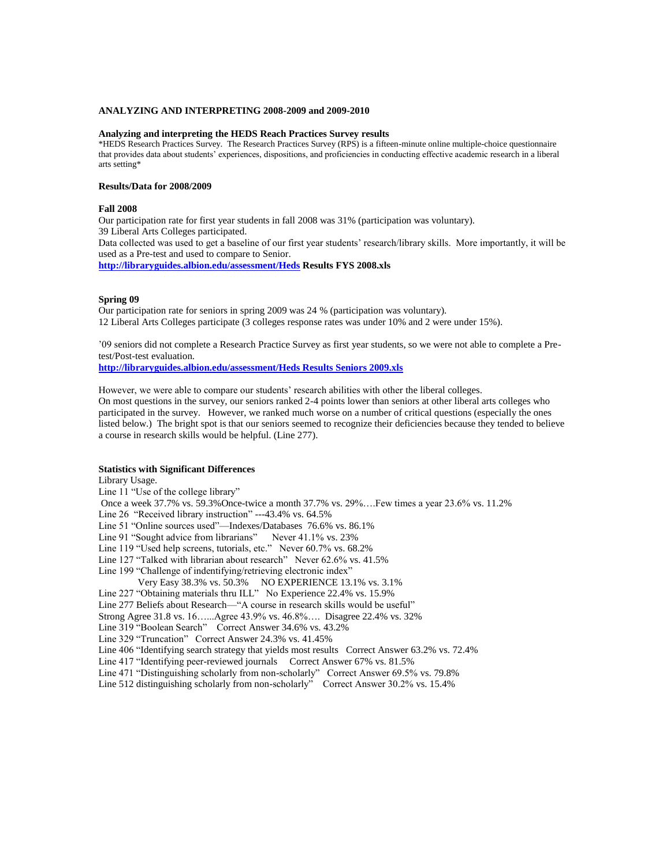### **ANALYZING AND INTERPRETING 2008-2009 and 2009-2010**

#### **Analyzing and interpreting the HEDS Reach Practices Survey results**

\*HEDS Research Practices Survey. The Research Practices Survey (RPS) is a fifteen-minute online multiple-choice questionnaire that provides data about students' experiences, dispositions, and proficiencies in conducting effective academic research in a liberal arts setting\*

# **Results/Data for 2008/2009**

### **Fall 2008**

Our participation rate for first year students in fall 2008 was 31% (participation was voluntary). 39 Liberal Arts Colleges participated. Data collected was used to get a baseline of our first year students' research/library skills. More importantly, it will be used as a Pre-test and used to compare to Senior. **<http://libraryguides.albion.edu/assessment/Heds> Results FYS 2008.xls**

### **Spring 09**

Our participation rate for seniors in spring 2009 was 24 % (participation was voluntary). 12 Liberal Arts Colleges participate (3 colleges response rates was under 10% and 2 were under 15%).

'09 seniors did not complete a Research Practice Survey as first year students, so we were not able to complete a Pretest/Post-test evaluation.

**[http://libraryguides.albion.edu/assessment/Heds Results Seniors 2009.xls](http://libraryguides.albion.edu/assessment/Heds%20Results%20Seniors%202009.xls)**

However, we were able to compare our students' research abilities with other the liberal colleges. On most questions in the survey, our seniors ranked 2-4 points lower than seniors at other liberal arts colleges who participated in the survey. However, we ranked much worse on a number of critical questions (especially the ones listed below.) The bright spot is that our seniors seemed to recognize their deficiencies because they tended to believe a course in research skills would be helpful. (Line 277).

# **Statistics with Significant Differences**

Library Usage.

Line 11 "Use of the college library" Once a week 37.7% vs. 59.3%Once-twice a month 37.7% vs. 29%….Few times a year 23.6% vs. 11.2% Line 26 "Received library instruction" ---43.4% vs. 64.5% Line 51 "Online sources used"—Indexes/Databases 76.6% vs. 86.1% Line 91 "Sought advice from librarians" Never 41.1% vs. 23% Line 119 "Used help screens, tutorials, etc." Never 60.7% vs. 68.2% Line 127 "Talked with librarian about research" Never 62.6% vs. 41.5% Line 199 "Challenge of indentifying/retrieving electronic index" Very Easy 38.3% vs. 50.3% NO EXPERIENCE 13.1% vs. 3.1% Line 227 "Obtaining materials thru ILL" No Experience 22.4% vs. 15.9% Line 277 Beliefs about Research—"A course in research skills would be useful" Strong Agree 31.8 vs. 16…...Agree 43.9% vs. 46.8%…. Disagree 22.4% vs. 32% Line 319 "Boolean Search" Correct Answer 34.6% vs. 43.2% Line 329 "Truncation" Correct Answer 24.3% vs. 41.45% Line 406 "Identifying search strategy that yields most results Correct Answer 63.2% vs. 72.4% Line 417 "Identifying peer-reviewed journals Correct Answer 67% vs. 81.5% Line 471 "Distinguishing scholarly from non-scholarly" Correct Answer 69.5% vs. 79.8% Line 512 distinguishing scholarly from non-scholarly" Correct Answer 30.2% vs. 15.4%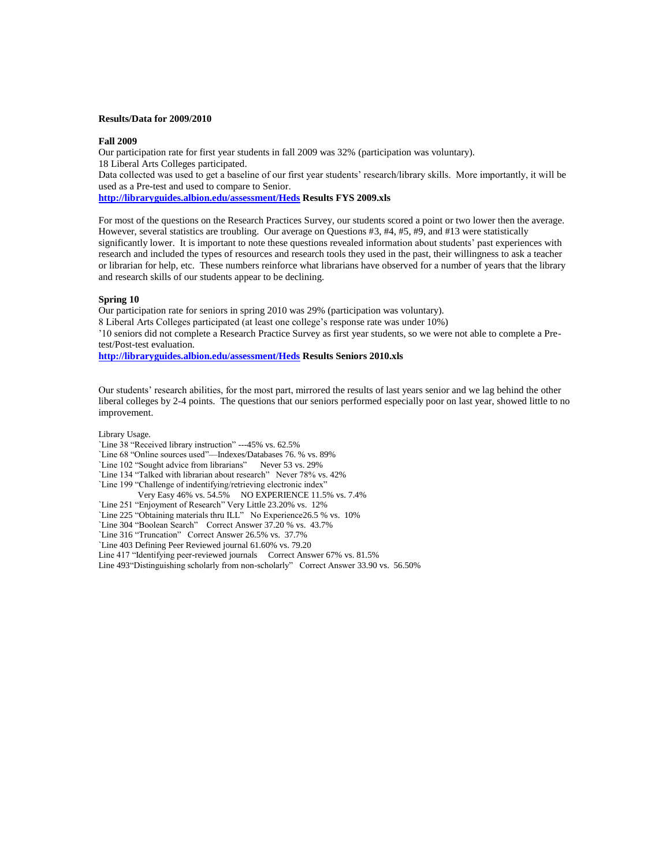## **Results/Data for 2009/2010**

#### **Fall 2009**

Our participation rate for first year students in fall 2009 was 32% (participation was voluntary). 18 Liberal Arts Colleges participated. Data collected was used to get a baseline of our first year students' research/library skills. More importantly, it will be used as a Pre-test and used to compare to Senior. **<http://libraryguides.albion.edu/assessment/Heds> Results FYS 2009.xls**

For most of the questions on the Research Practices Survey, our students scored a point or two lower then the average. However, several statistics are troubling. Our average on Questions #3, #4, #5, #9, and #13 were statistically significantly lower. It is important to note these questions revealed information about students' past experiences with research and included the types of resources and research tools they used in the past, their willingness to ask a teacher or librarian for help, etc. These numbers reinforce what librarians have observed for a number of years that the library and research skills of our students appear to be declining.

#### **Spring 10**

Our participation rate for seniors in spring 2010 was 29% (participation was voluntary).

8 Liberal Arts Colleges participated (at least one college's response rate was under 10%)

'10 seniors did not complete a Research Practice Survey as first year students, so we were not able to complete a Pretest/Post-test evaluation.

**<http://libraryguides.albion.edu/assessment/Heds> Results Seniors 2010.xls**

Our students' research abilities, for the most part, mirrored the results of last years senior and we lag behind the other liberal colleges by 2-4 points. The questions that our seniors performed especially poor on last year, showed little to no improvement.

Library Usage.

`Line 38 "Received library instruction" ---45% vs. 62.5%

`Line 68 "Online sources used"—Indexes/Databases 76. % vs. 89%

`Line 102 "Sought advice from librarians" Never 53 vs. 29%

`Line 134 "Talked with librarian about research" Never 78% vs. 42%

`Line 199 "Challenge of indentifying/retrieving electronic index"

Very Easy 46% vs. 54.5% NO EXPERIENCE 11.5% vs. 7.4%

`Line 251 "Enjoyment of Research" Very Little 23.20% vs. 12%

`Line 225 "Obtaining materials thru ILL" No Experience26.5 % vs. 10%

`Line 304 "Boolean Search" Correct Answer 37.20 % vs. 43.7%

`Line 316 "Truncation" Correct Answer 26.5% vs. 37.7%

`Line 403 Defining Peer Reviewed journal 61.60% vs. 79.20

Line 417 "Identifying peer-reviewed journals Correct Answer 67% vs. 81.5%

Line 493"Distinguishing scholarly from non-scholarly" Correct Answer 33.90 vs. 56.50%